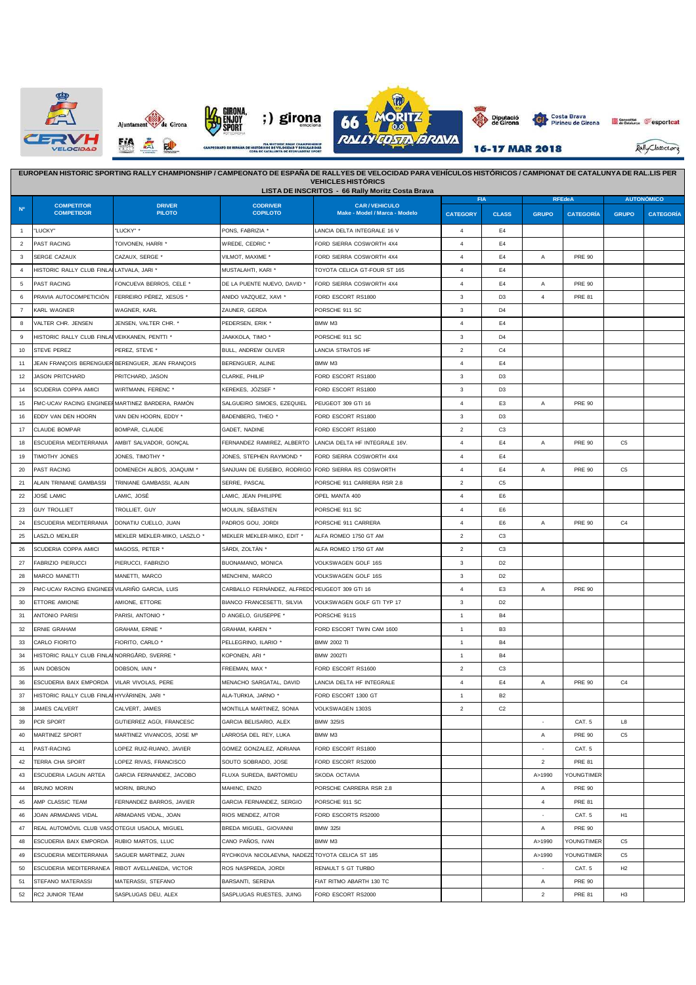







Seneralitat **Cesportcat** 

Rally Classics.org

|                | EUROPEAN HISTORIC SPORTING RALLY CHAMPIONSHIP / CAMPEONATO DE ESPAÑA DE RALLYES DE VELOCIDAD PARA VEHÍCULOS HISTÓRICOS / CAMPIONAT DE CATALUNYA DE RAL.LIS PER<br><b>VEHICLES HISTÓRICS</b><br>LISTA DE INSCRITOS - 66 Rally Moritz Costa Brava |                                                  |                                                 |                                |                 |                |                          |                  |                   |                  |  |
|----------------|-------------------------------------------------------------------------------------------------------------------------------------------------------------------------------------------------------------------------------------------------|--------------------------------------------------|-------------------------------------------------|--------------------------------|-----------------|----------------|--------------------------|------------------|-------------------|------------------|--|
|                | <b>COMPETITOR</b>                                                                                                                                                                                                                               | <b>DRIVER</b>                                    | <b>CODRIVER</b>                                 | <b>CAR/VEHICULO</b>            | <b>FIA</b>      |                |                          | <b>RFEdeA</b>    | <b>AUTONÓMICO</b> |                  |  |
| N <sub>o</sub> | <b>COMPETIDOR</b>                                                                                                                                                                                                                               | <b>PILOTO</b>                                    | <b>COPILOTO</b>                                 | Make - Model / Marca - Modelo  | <b>CATEGORY</b> | <b>CLASS</b>   | <b>GRUPO</b>             | <b>CATEGORÍA</b> | <b>GRUPO</b>      | <b>CATEGORÍA</b> |  |
| $\overline{1}$ | "LUCKY"                                                                                                                                                                                                                                         | "LUCKY" *                                        | PONS, FABRIZIA *                                | LANCIA DELTA INTEGRALE 16 V    | $\overline{4}$  | E4             |                          |                  |                   |                  |  |
| $\overline{2}$ | PAST RACING                                                                                                                                                                                                                                     | TOIVONEN, HARRI *                                | WREDE, CEDRIC *                                 | FORD SIERRA COSWORTH 4X4       | 4               | E4             |                          |                  |                   |                  |  |
| 3              | <b>SERGE CAZAUX</b>                                                                                                                                                                                                                             | CAZAUX, SERGE *                                  | VILMOT, MAXIME *                                | FORD SIERRA COSWORTH 4X4       | $\overline{4}$  | E4             | Α                        | <b>PRE 90</b>    |                   |                  |  |
| $\overline{4}$ | HISTORIC RALLY CLUB FINLAILATVALA, JARI '                                                                                                                                                                                                       |                                                  | MUSTALAHTI, KARI *                              | TOYOTA CELICA GT-FOUR ST 165   | 4               | F <sub>4</sub> |                          |                  |                   |                  |  |
| 5              | PAST RACING                                                                                                                                                                                                                                     | FONCUEVA BERROS, CELE *                          | DE LA PUENTE NUEVO, DAVID '                     | FORD SIERRA COSWORTH 4X4       | 4               | E4             | $\overline{A}$           | <b>PRE 90</b>    |                   |                  |  |
| 6              | PRAVIA AUTOCOMPETICIÓN                                                                                                                                                                                                                          | FERREIRO PÉREZ, XESÚS '                          | ANIDO VAZQUEZ, XAVI *                           | FORD ESCORT RS1800             | 3               | D <sub>3</sub> | $\overline{4}$           | <b>PRE 81</b>    |                   |                  |  |
| $\overline{7}$ | KARL WAGNER                                                                                                                                                                                                                                     | WAGNER, KARL                                     | ZAUNER, GERDA                                   | PORSCHE 911 SC                 | 3               | D <sub>4</sub> |                          |                  |                   |                  |  |
| 8              | VALTER CHR. JENSEN                                                                                                                                                                                                                              | JENSEN, VALTER CHR. *                            | PEDERSEN, ERIK *                                | BMW M3                         | $\overline{4}$  | E4             |                          |                  |                   |                  |  |
| 9              | HISTORIC RALLY CLUB FINLAI VEIKKANEN, PENTTI *                                                                                                                                                                                                  |                                                  | JAAKKOLA, TIMO*                                 | PORSCHE 911 SC                 | $\mathbf{3}$    | D <sub>4</sub> |                          |                  |                   |                  |  |
| 10             | STEVE PEREZ                                                                                                                                                                                                                                     | PEREZ, STEVE                                     | BULL, ANDREW OLIVER                             | LANCIA STRATOS HF              | $\overline{2}$  | C4             |                          |                  |                   |                  |  |
| 11             |                                                                                                                                                                                                                                                 | JEAN FRANÇOIS BERENGUER BERENGUER, JEAN FRANÇOIS | BERENGUER, ALINE                                | BMW M3                         | $\overline{4}$  | E4             |                          |                  |                   |                  |  |
| 12             | <b>JASON PRITCHARD</b>                                                                                                                                                                                                                          | PRITCHARD, JASON                                 | CLARKE, PHILIP                                  | FORD ESCORT RS1800             | 3               | D <sub>3</sub> |                          |                  |                   |                  |  |
| 14             | SCUDERIA COPPA AMICI                                                                                                                                                                                                                            | WIRTMANN, FERENC *                               | KEREKES, JÓZSEF *                               | FORD ESCORT RS1800             | 3               | D <sub>3</sub> |                          |                  |                   |                  |  |
| 15             |                                                                                                                                                                                                                                                 | FMC-UCAV RACING ENGINEERMARTINEZ BARDERA, RAMÓN  | SALGUEIRO SIMOES, EZEQUIEL                      | PEUGEOT 309 GTI 16             | $\overline{4}$  | E <sub>3</sub> | Α                        | <b>PRE 90</b>    |                   |                  |  |
| 16             | EDDY VAN DEN HOORN                                                                                                                                                                                                                              | VAN DEN HOORN, EDDY *                            | BADENBERG, THEO *                               | FORD ESCORT RS1800             | 3               | D <sub>3</sub> |                          |                  |                   |                  |  |
| 17             | <b>CLAUDE BOMPAR</b>                                                                                                                                                                                                                            | BOMPAR, CLAUDE                                   | GADET, NADINE                                   | FORD ESCORT RS1800             | $\overline{2}$  | C <sub>3</sub> |                          |                  |                   |                  |  |
| 18             | ESCUDERIA MEDITERRANIA                                                                                                                                                                                                                          | AMBIT SALVADOR, GONCAL                           | FERNANDEZ RAMIREZ, ALBERTO                      | LANCIA DELTA HF INTEGRALE 16V. | $\overline{4}$  | E4             | A                        | <b>PRE 90</b>    | C <sub>5</sub>    |                  |  |
| 19             | <b>TIMOTHY JONES</b>                                                                                                                                                                                                                            | JONES, TIMOTHY *                                 | JONES. STEPHEN RAYMOND                          | FORD SIERRA COSWORTH 4X4       | $\overline{4}$  | E4             |                          |                  |                   |                  |  |
| 20             | PAST RACING                                                                                                                                                                                                                                     | DOMENECH ALBOS, JOAQUIM *                        | SANJUAN DE EUSEBIO, RODRIGO                     | FORD SIERRA RS COSWORTH        | 4               | E4             | Α                        | <b>PRE 90</b>    | C <sub>5</sub>    |                  |  |
| 21             | ALAIN TRINIANE GAMBASSI                                                                                                                                                                                                                         | TRINIANE GAMBASSI, ALAIN                         | SERRE, PASCAL                                   | PORSCHE 911 CARRERA RSR 2.8    | $\overline{2}$  | C <sub>5</sub> |                          |                  |                   |                  |  |
| 22             | JOSÉ LAMIC                                                                                                                                                                                                                                      | LAMIC, JOSÉ                                      | LAMIC, JEAN PHILIPPE                            | OPEL MANTA 400                 | $\overline{4}$  | E <sub>6</sub> |                          |                  |                   |                  |  |
| 23             | <b>GUY TROLLIET</b>                                                                                                                                                                                                                             | TROLLIET, GUY                                    | MOULIN, SÉBASTIEN                               | PORSCHE 911 SC                 | $\overline{4}$  | E6             |                          |                  |                   |                  |  |
| 24             | ESCUDERIA MEDITERRANIA                                                                                                                                                                                                                          | DONATIU CUELLO, JUAN                             | PADROS GOU, JORDI                               | PORSCHE 911 CARRERA            | $\overline{4}$  | E <sub>6</sub> | Α                        | <b>PRE 90</b>    | C4                |                  |  |
| 25             | LASZLO MEKLER                                                                                                                                                                                                                                   | MEKLER MEKLER-MIKO, LASZLO *                     | MEKLER MEKLER-MIKO, EDIT *                      | ALFA ROMEO 1750 GT AM          | $\overline{2}$  | C <sub>3</sub> |                          |                  |                   |                  |  |
| 26             | SCUDERIA COPPA AMICI                                                                                                                                                                                                                            | MAGOSS, PETER *                                  | SÀRDI, ZOLTÀN '                                 | ALFA ROMEO 1750 GT AM          | $\overline{2}$  | C <sub>3</sub> |                          |                  |                   |                  |  |
| 27             | FABRIZIO PIERUCCI                                                                                                                                                                                                                               | PIERUCCI, FABRIZIO                               | BUONAMANO, MONICA                               | VOLKSWAGEN GOLF 16S            | 3               | D <sub>2</sub> |                          |                  |                   |                  |  |
| 28             | MARCO MANETTI                                                                                                                                                                                                                                   | MANETTI, MARCO                                   | MENCHINI, MARCO                                 | VOLKSWAGEN GOLF 16S            | 3               | D <sub>2</sub> |                          |                  |                   |                  |  |
| 29             | FMC-UCAV RACING ENGINEERVILARIÑO GARCIA, LUIS                                                                                                                                                                                                   |                                                  | CARBALLO FERNÁNDEZ, ALFREDO PEUGEOT 309 GTI 16  |                                | $\overline{4}$  | E <sub>3</sub> | А                        | <b>PRE 90</b>    |                   |                  |  |
| 30             | ETTORE AMIONE                                                                                                                                                                                                                                   | AMIONE, ETTORE                                   | BIANCO FRANCESETTI, SILVIA                      | VOLKSWAGEN GOLF GTI TYP 17     | 3               | D <sub>2</sub> |                          |                  |                   |                  |  |
| 31             | <b>ANTONIO PARISI</b>                                                                                                                                                                                                                           | PARISI, ANTONIO *                                | D ANGELO, GIUSEPPE *                            | PORSCHE 911S                   | $\mathbf{1}$    | <b>B4</b>      |                          |                  |                   |                  |  |
| 32             | <b>ERNIE GRAHAM</b>                                                                                                                                                                                                                             | GRAHAM, ERNIE *                                  | GRAHAM, KAREN *                                 | FORD ESCORT TWIN CAM 1600      | $\mathbf{1}$    | B <sub>3</sub> |                          |                  |                   |                  |  |
| 33             | CARLO FIORITO                                                                                                                                                                                                                                   | FIORITO, CARLO *                                 | PELLEGRINO, ILARIO *                            | <b>BMW 2002 TI</b>             | $\mathbf{1}$    | <b>B4</b>      |                          |                  |                   |                  |  |
| 34             | HISTORIC RALLY CLUB FINLAINORRGÂRD. SVERRE *                                                                                                                                                                                                    |                                                  | KOPONEN, ARI '                                  | <b>BMW 2002TI</b>              | $\mathbf{1}$    | <b>B4</b>      |                          |                  |                   |                  |  |
| 35             | IAIN DOBSON                                                                                                                                                                                                                                     | DOBSON, IAIN *                                   | FREEMAN, MAX *                                  | FORD ESCORT RS1600             | $\overline{2}$  | C <sub>3</sub> |                          |                  |                   |                  |  |
| 36             | ESCUDERIA BAIX EMPORDA                                                                                                                                                                                                                          | VILAR VIVOLAS, PERE                              | MENACHO SARGATAL, DAVID                         | LANCIA DELTA HF INTEGRALE      | $\overline{4}$  | E4             | Α                        | <b>PRE 90</b>    | C <sub>4</sub>    |                  |  |
| 37             | HISTORIC RALLY CLUB FINLAI HYVÄRINEN, JARI *                                                                                                                                                                                                    |                                                  | ALA-TURKIA, JARNO *                             | FORD ESCORT 1300 GT            | $\mathbf{1}$    | <b>B2</b>      |                          |                  |                   |                  |  |
| 38             | <b>JAMES CALVERT</b>                                                                                                                                                                                                                            | CALVERT, JAMES                                   | MONTILLA MARTINEZ, SONIA                        | VOLKSWAGEN 1303S               | $\overline{2}$  | C <sub>2</sub> |                          |                  |                   |                  |  |
| 39             | PCR SPORT                                                                                                                                                                                                                                       | GUTIERREZ AGÜI, FRANCESC                         | GARCIA BELISARIO, ALEX                          | <b>BMW 325IS</b>               |                 |                | $\sim$                   | CAT. 5           | L8                |                  |  |
| 40             | MARTINEZ SPORT                                                                                                                                                                                                                                  | MARTINEZ VIVANCOS, JOSE Mª                       | LARROSA DEL REY, LUKA                           | BMW M3                         |                 |                | Α                        | <b>PRE 90</b>    | C <sub>5</sub>    |                  |  |
| 41             | PAST-RACING                                                                                                                                                                                                                                     | LOPEZ RUIZ-RUANO, JAVIER                         | GOMEZ GONZALEZ, ADRIANA                         | FORD ESCORT RS1800             |                 |                | $\overline{\phantom{a}}$ | CAT. 5           |                   |                  |  |
| 42             | TERRA CHA SPORT                                                                                                                                                                                                                                 | LOPEZ RIVAS, FRANCISCO                           | SOUTO SOBRADO, JOSE                             | FORD ESCORT RS2000             |                 |                | $\overline{\mathbf{c}}$  | <b>PRE 81</b>    |                   |                  |  |
| 43             | ESCUDERIA LAGUN ARTEA                                                                                                                                                                                                                           | GARCIA FERNANDEZ, JACOBO                         | FLUXA SUREDA, BARTOMEU                          | SKODA OCTAVIA                  |                 |                | A>1990                   | YOUNGTIMER       |                   |                  |  |
| 44             | BRUNO MORIN                                                                                                                                                                                                                                     | MORIN, BRUNO                                     | MAHINC, ENZO                                    | PORSCHE CARRERA RSR 2.8        |                 |                | Α                        | <b>PRE 90</b>    |                   |                  |  |
| 45             | AMP CLASSIC TEAM                                                                                                                                                                                                                                | FERNANDEZ BARROS, JAVIER                         | GARCIA FERNANDEZ, SERGIO                        | PORSCHE 911 SC                 |                 |                | $\overline{4}$           | <b>PRE 81</b>    |                   |                  |  |
| 46             | JOAN ARMADANS VIDAL                                                                                                                                                                                                                             | ARMADANS VIDAL, JOAN                             | RIOS MENDEZ, AITOR                              | FORD ESCORTS RS2000            |                 |                |                          | CAT. 5           | H <sub>1</sub>    |                  |  |
| 47             | REAL AUTOMÓVIL CLUB VASO OTEGUI USAOLA, MIGUEL                                                                                                                                                                                                  |                                                  | BREDA MIGUEL, GIOVANNI                          | <b>BMW 325I</b>                |                 |                | Α                        | <b>PRE 90</b>    |                   |                  |  |
| 48             | ESCUDERIA BAIX EMPORDA                                                                                                                                                                                                                          | RUBIO MARTOS, LLUC                               | CANO PAÑOS, IVAN                                | BMW M3                         |                 |                | A>1990                   | YOUNGTIMER       | C <sub>5</sub>    |                  |  |
| 49             | ESCUDERIA MEDITERRANIA                                                                                                                                                                                                                          | SAGUER MARTINEZ, JUAN                            | RYCHKOVA NICOLAEVNA, NADEZDTOYOTA CELICA ST 185 |                                |                 |                | A>1990                   | YOUNGTIMER       | C <sub>5</sub>    |                  |  |
| 50             | ESCUDERIA MEDITERRANEA                                                                                                                                                                                                                          | RIBOT AVELLANEDA, VICTOR                         | ROS NASPREDA, JORDI                             | RENAULT 5 GT TURBO             |                 |                | $\sim$                   | CAT. 5           | H2                |                  |  |
| 51             | STEFANO MATERASSI                                                                                                                                                                                                                               | MATERASSI, STEFANO                               | BARSANTI, SERENA                                | FIAT RITMO ABARTH 130 TC       |                 |                | Α                        | <b>PRE 90</b>    |                   |                  |  |
| 52             | RC2 JUNIOR TEAM                                                                                                                                                                                                                                 | SASPLUGAS DEU, ALEX                              | SASPLUGAS RUESTES, JUING                        | FORD ESCORT RS2000             |                 |                | $\overline{\mathbf{c}}$  | <b>PRE 81</b>    | H3                |                  |  |